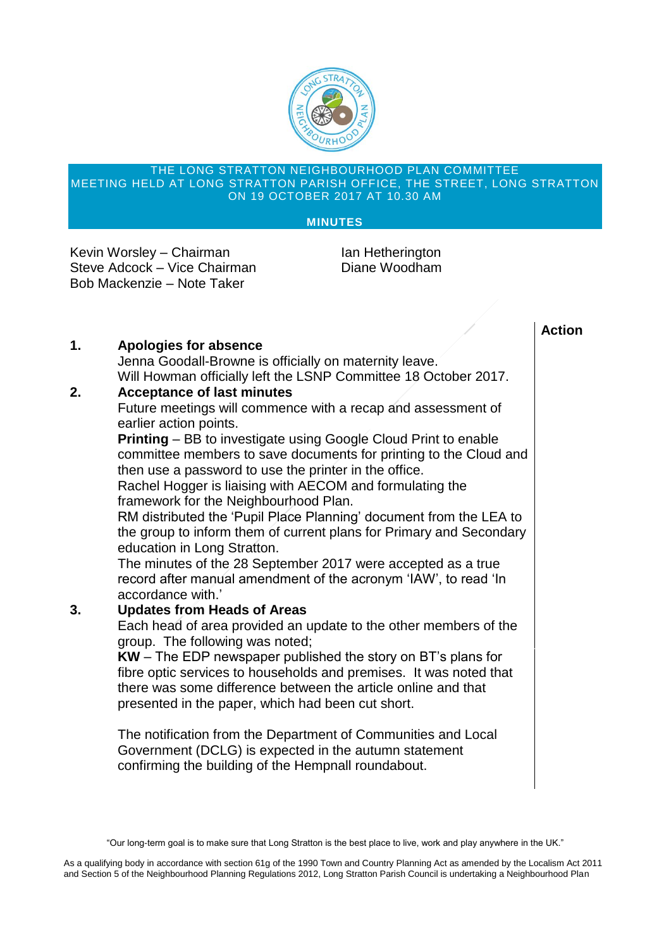

#### THE LONG STRATTON NEIGHBOURHOOD PLAN COMMITTEE MEETING HELD AT LONG STRATTON PARISH OFFICE, THE STREET, LONG STRATTON ON 19 OCTOBER 2017 AT 10.30 AM

#### **MINUTES**

Kevin Worsley – Chairman Ian Hetherington Steve Adcock – Vice Chairman Diane Woodham Bob Mackenzie – Note Taker

# **Action**

# **1. Apologies for absence**

Jenna Goodall-Browne is officially on maternity leave. Will Howman officially left the LSNP Committee 18 October 2017.

## **2. Acceptance of last minutes**

Future meetings will commence with a recap and assessment of earlier action points.

**Printing** – BB to investigate using Google Cloud Print to enable committee members to save documents for printing to the Cloud and then use a password to use the printer in the office.

Rachel Hogger is liaising with AECOM and formulating the framework for the Neighbourhood Plan.

RM distributed the 'Pupil Place Planning' document from the LEA to the group to inform them of current plans for Primary and Secondary education in Long Stratton.

The minutes of the 28 September 2017 were accepted as a true record after manual amendment of the acronym 'IAW', to read 'In accordance with.'

## **3. Updates from Heads of Areas**

Each head of area provided an update to the other members of the group. The following was noted;

**KW** – The EDP newspaper published the story on BT's plans for fibre optic services to households and premises. It was noted that there was some difference between the article online and that presented in the paper, which had been cut short.

The notification from the Department of Communities and Local Government (DCLG) is expected in the autumn statement confirming the building of the Hempnall roundabout.

As a qualifying body in accordance with section 61g of the 1990 Town and Country Planning Act as amended by the Localism Act 2011 and Section 5 of the Neighbourhood Planning Regulations 2012, Long Stratton Parish Council is undertaking a Neighbourhood Plan

<sup>&</sup>quot;Our long-term goal is to make sure that Long Stratton is the best place to live, work and play anywhere in the UK."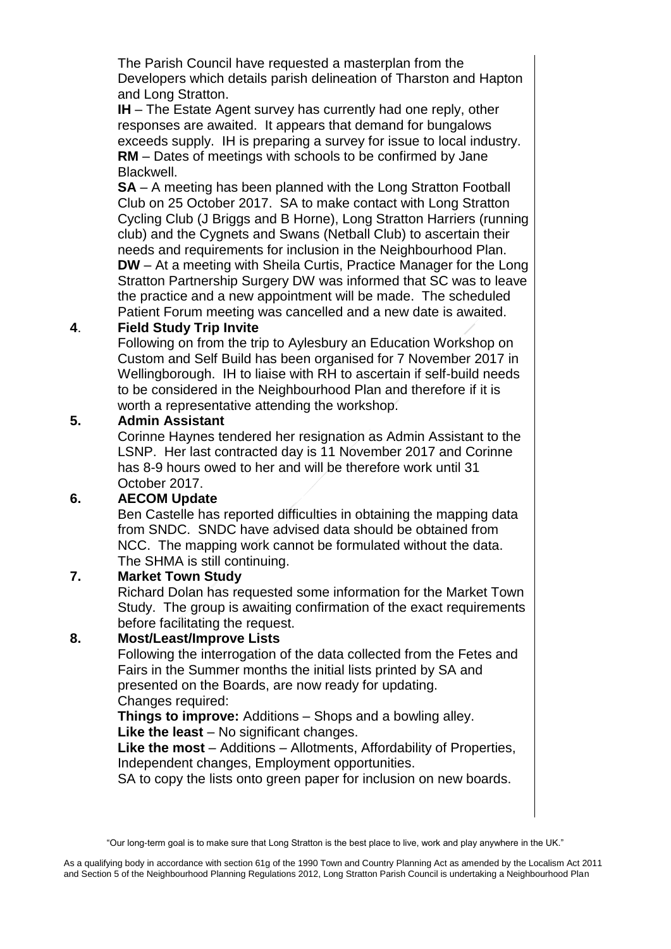The Parish Council have requested a masterplan from the Developers which details parish delineation of Tharston and Hapton and Long Stratton.

**IH** – The Estate Agent survey has currently had one reply, other responses are awaited. It appears that demand for bungalows exceeds supply. IH is preparing a survey for issue to local industry. **RM** – Dates of meetings with schools to be confirmed by Jane Blackwell.

**SA** – A meeting has been planned with the Long Stratton Football Club on 25 October 2017. SA to make contact with Long Stratton Cycling Club (J Briggs and B Horne), Long Stratton Harriers (running club) and the Cygnets and Swans (Netball Club) to ascertain their needs and requirements for inclusion in the Neighbourhood Plan. **DW** – At a meeting with Sheila Curtis, Practice Manager for the Long Stratton Partnership Surgery DW was informed that SC was to leave the practice and a new appointment will be made. The scheduled Patient Forum meeting was cancelled and a new date is awaited.

# **4**. **Field Study Trip Invite**

Following on from the trip to Aylesbury an Education Workshop on Custom and Self Build has been organised for 7 November 2017 in Wellingborough. IH to liaise with RH to ascertain if self-build needs to be considered in the Neighbourhood Plan and therefore if it is worth a representative attending the workshop.

# **5. Admin Assistant**

Corinne Haynes tendered her resignation as Admin Assistant to the LSNP. Her last contracted day is 11 November 2017 and Corinne has 8-9 hours owed to her and will be therefore work until 31 October 2017.

# **6. AECOM Update**

Ben Castelle has reported difficulties in obtaining the mapping data from SNDC. SNDC have advised data should be obtained from NCC. The mapping work cannot be formulated without the data. The SHMA is still continuing.

## **7. Market Town Study**

Richard Dolan has requested some information for the Market Town Study. The group is awaiting confirmation of the exact requirements before facilitating the request.

# **8. Most/Least/Improve Lists**

Following the interrogation of the data collected from the Fetes and Fairs in the Summer months the initial lists printed by SA and presented on the Boards, are now ready for updating. Changes required:

**Things to improve:** Additions – Shops and a bowling alley. **Like the least** – No significant changes.

**Like the most** – Additions – Allotments, Affordability of Properties,

Independent changes, Employment opportunities.

SA to copy the lists onto green paper for inclusion on new boards.

<sup>&</sup>quot;Our long-term goal is to make sure that Long Stratton is the best place to live, work and play anywhere in the UK."